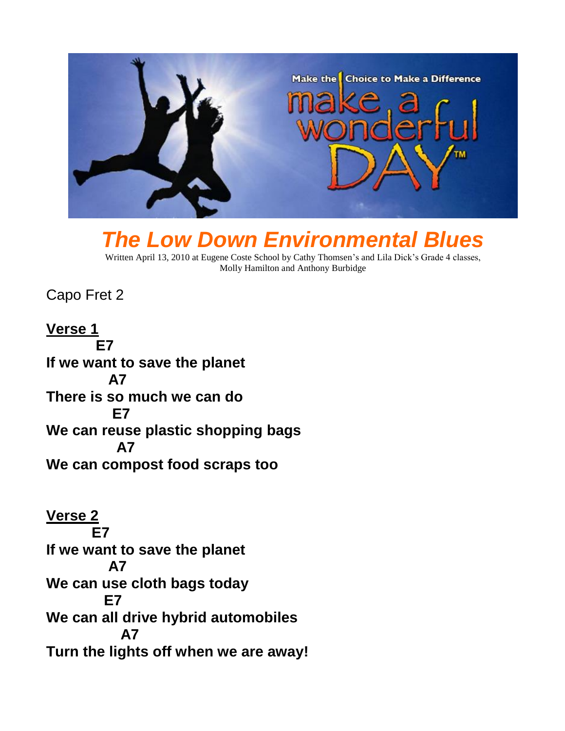

## *The Low Down Environmental Blues*

Written April 13, 2010 at Eugene Coste School by Cathy Thomsen's and Lila Dick's Grade 4 classes, Molly Hamilton and Anthony Burbidge

Capo Fret 2

**Verse 1 E7 If we want to save the planet A7 There is so much we can do E7 We can reuse plastic shopping bags A7 We can compost food scraps too**

**Verse 2 E7 If we want to save the planet A7 We can use cloth bags today E7 We can all drive hybrid automobiles A7 Turn the lights off when we are away!**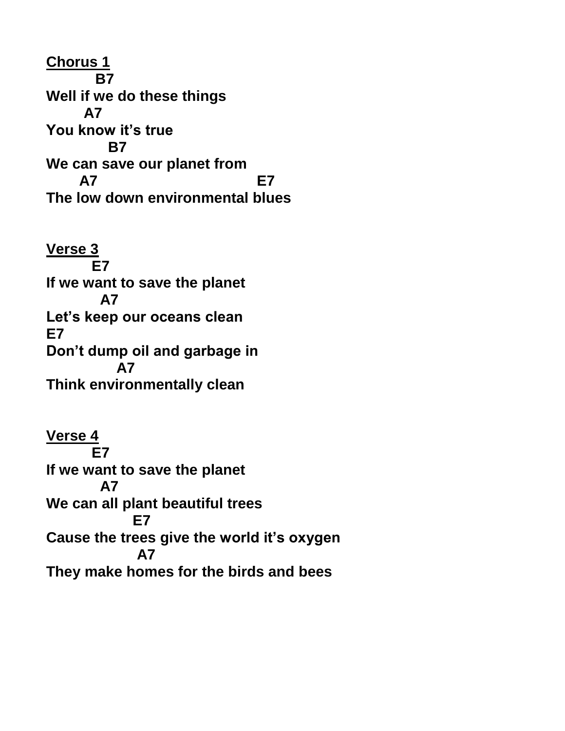**Chorus 1 B7 Well if we do these things A7 You know it's true B7 We can save our planet from A7 E7 The low down environmental blues**

**Verse 3 E7 If we want to save the planet A7 Let's keep our oceans clean E7 Don't dump oil and garbage in A7 Think environmentally clean**

**Verse 4 E7 If we want to save the planet A7 We can all plant beautiful trees E7 Cause the trees give the world it's oxygen A7 They make homes for the birds and bees**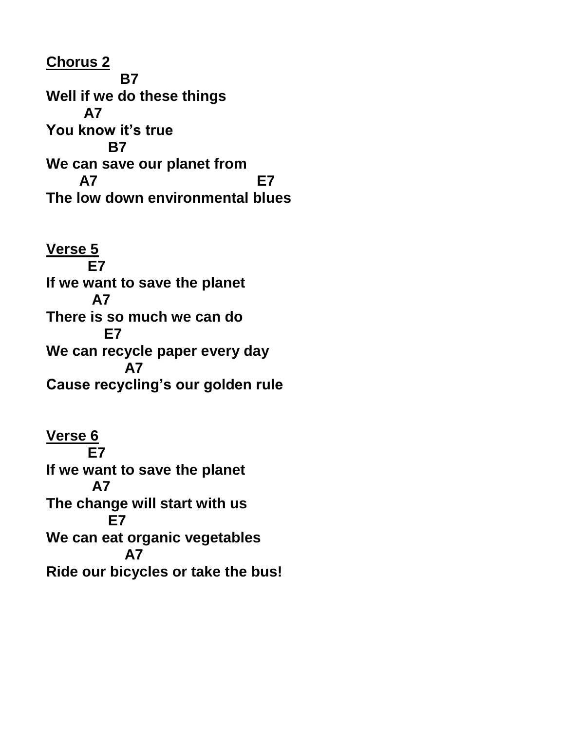**Chorus 2 B7 Well if we do these things A7 You know it's true B7 We can save our planet from A7 E7 The low down environmental blues**

**Verse 5 E7 If we want to save the planet A7 There is so much we can do E7 We can recycle paper every day A7 Cause recycling's our golden rule**

**Verse 6 E7 If we want to save the planet A7 The change will start with us E7 We can eat organic vegetables A7 Ride our bicycles or take the bus!**